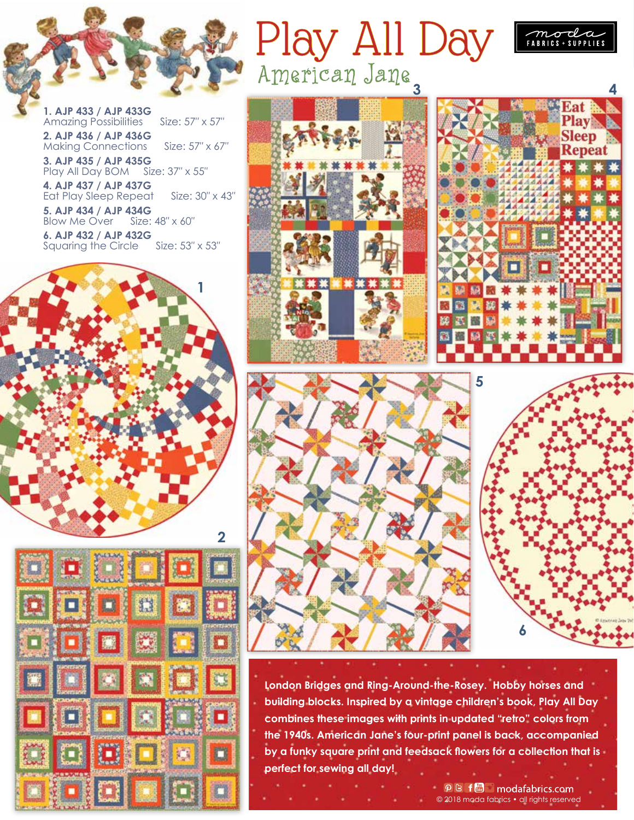

**1. AJP 433 / AJP 433G**  Amazing Possibilities Size: 57" x 57" **2. AJP 436 / AJP 436G**  Making Connections Size: 57" x 67"

**3. AJP 435 / AJP 435G** 

Play All Day BOM Size: 37″ x 55″ **4. AJP 437 / AJP 437G** 

Eat Play Sleep Repeat Size: 30″ x 43″

**5. AJP 434 / AJP 434G<br>Blow Me Over Size: 48" x 60"** Blow Me Over

**6. AJP 432 / AJP 432G**<br>Sauaring the Circle Size: 53" x 53" Squaring the Circle





**Play All Da** 











**London Bridges and Ring-Around-the-Rosey. Hobby horses and building blocks. Inspired by a vintage children's book, Play All Day combines these images with prints in updated "retro" colors from the 1940s. American Jane's four-print panel is back, accompanied by a funky square print and feedsack flowers for a collection that is perfect for sewing all day!** 

<sup>の</sup>B f - modafabrics.com © 2018 moda fabrics • all rights reserved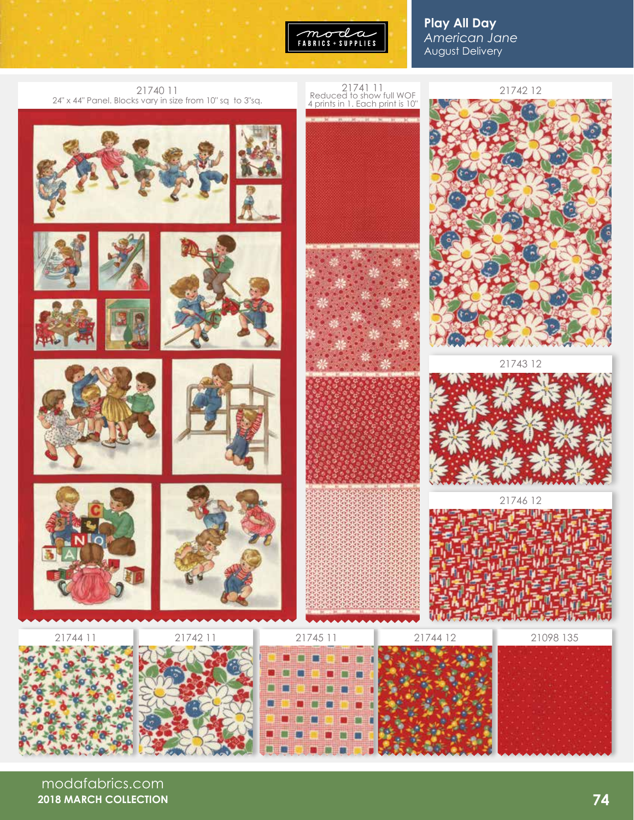

**Play All Day** *American Jane* August Delivery



modafabrics.com **2018 MARCH COLLECTION**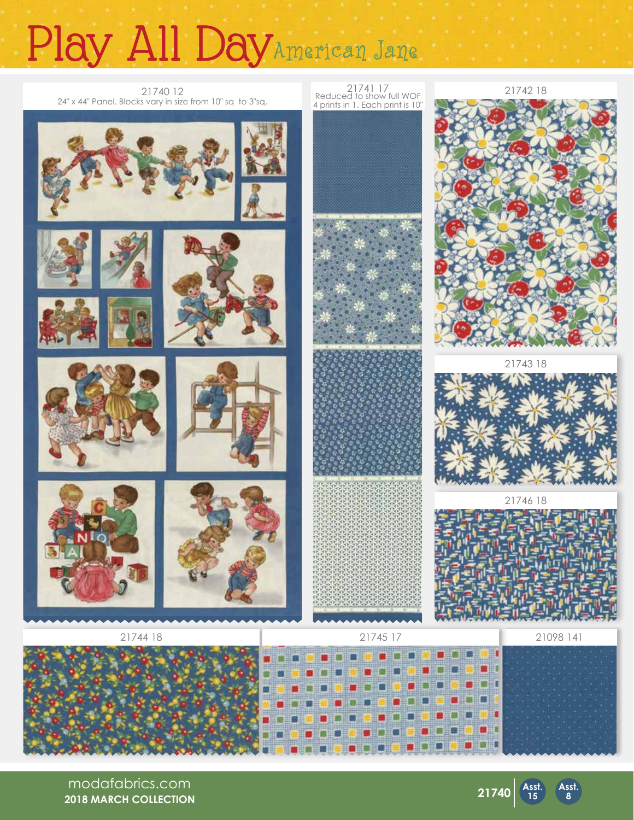## Play All DayAmerican Jane



modafabrics.com **2018 MARCH COLLECTION**



**Asst. 8**